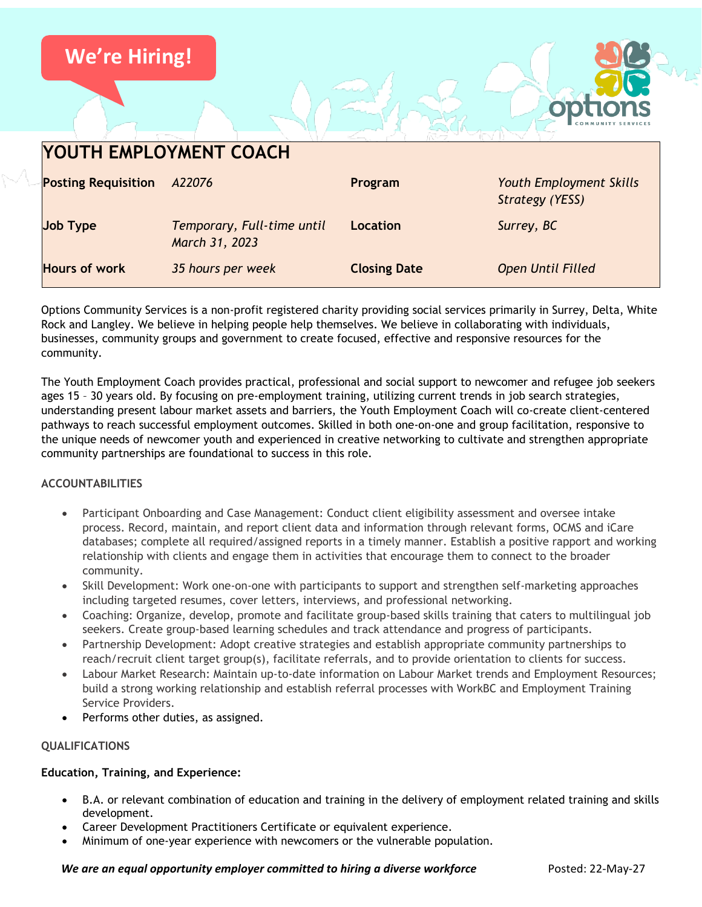

Options Community Services is a non-profit registered charity providing social services primarily in Surrey, Delta, White Rock and Langley. We believe in helping people help themselves. We believe in collaborating with individuals, businesses, community groups and government to create focused, effective and responsive resources for the community.

The Youth Employment Coach provides practical, professional and social support to newcomer and refugee job seekers ages 15 – 30 years old. By focusing on pre-employment training, utilizing current trends in job search strategies, understanding present labour market assets and barriers, the Youth Employment Coach will co-create client-centered pathways to reach successful employment outcomes. Skilled in both one-on-one and group facilitation, responsive to the unique needs of newcomer youth and experienced in creative networking to cultivate and strengthen appropriate community partnerships are foundational to success in this role.

# **ACCOUNTABILITIES**

- Participant Onboarding and Case Management: Conduct client eligibility assessment and oversee intake process. Record, maintain, and report client data and information through relevant forms, OCMS and iCare databases; complete all required/assigned reports in a timely manner. Establish a positive rapport and working relationship with clients and engage them in activities that encourage them to connect to the broader community.
- Skill Development: Work one-on-one with participants to support and strengthen self-marketing approaches including targeted resumes, cover letters, interviews, and professional networking.
- Coaching: Organize, develop, promote and facilitate group-based skills training that caters to multilingual job seekers. Create group-based learning schedules and track attendance and progress of participants.
- Partnership Development: Adopt creative strategies and establish appropriate community partnerships to reach/recruit client target group(s), facilitate referrals, and to provide orientation to clients for success.
- Labour Market Research: Maintain up-to-date information on Labour Market trends and Employment Resources; build a strong working relationship and establish referral processes with WorkBC and Employment Training Service Providers.
- Performs other duties, as assigned.

# **QUALIFICATIONS**

# **Education, Training, and Experience:**

- B.A. or relevant combination of education and training in the delivery of employment related training and skills development.
- Career Development Practitioners Certificate or equivalent experience.
- Minimum of one-year experience with newcomers or the vulnerable population.

#### *We are an equal opportunity employer committed to hiring a diverse workforce* Posted: 22-May-27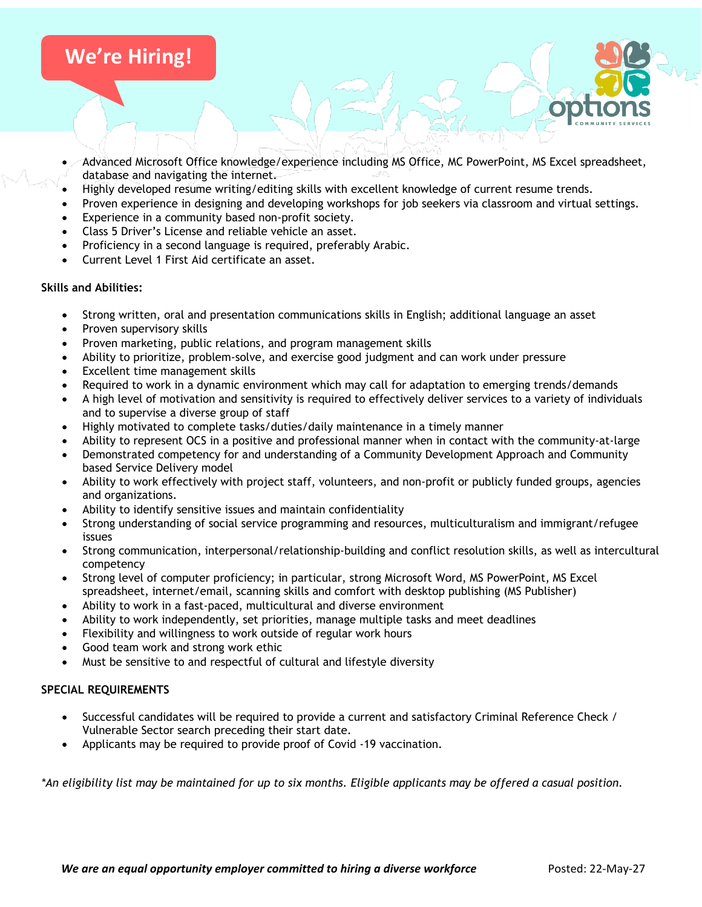# **We're Hiring!**

- Advanced Microsoft Office knowledge/experience including MS Office, MC PowerPoint, MS Excel spreadsheet, database and navigating the internet.
- Highly developed resume writing/editing skills with excellent knowledge of current resume trends.
- Proven experience in designing and developing workshops for job seekers via classroom and virtual settings.
- Experience in a community based non-profit society.
- Class 5 Driver's License and reliable vehicle an asset.
- Proficiency in a second language is required, preferably Arabic.
- Current Level 1 First Aid certificate an asset.

# **Skills and Abilities:**

- Strong written, oral and presentation communications skills in English; additional language an asset
- Proven supervisory skills
- Proven marketing, public relations, and program management skills
- Ability to prioritize, problem-solve, and exercise good judgment and can work under pressure
- Excellent time management skills
- Required to work in a dynamic environment which may call for adaptation to emerging trends/demands
- A high level of motivation and sensitivity is required to effectively deliver services to a variety of individuals and to supervise a diverse group of staff
- Highly motivated to complete tasks/duties/daily maintenance in a timely manner
- Ability to represent OCS in a positive and professional manner when in contact with the community-at-large
- Demonstrated competency for and understanding of a Community Development Approach and Community based Service Delivery model
- Ability to work effectively with project staff, volunteers, and non-profit or publicly funded groups, agencies and organizations.
- Ability to identify sensitive issues and maintain confidentiality
- Strong understanding of social service programming and resources, multiculturalism and immigrant/refugee issues
- Strong communication, interpersonal/relationship-building and conflict resolution skills, as well as intercultural competency
- Strong level of computer proficiency; in particular, strong Microsoft Word, MS PowerPoint, MS Excel spreadsheet, internet/email, scanning skills and comfort with desktop publishing (MS Publisher)
- Ability to work in a fast-paced, multicultural and diverse environment
- Ability to work independently, set priorities, manage multiple tasks and meet deadlines
- Flexibility and willingness to work outside of regular work hours
- Good team work and strong work ethic
- Must be sensitive to and respectful of cultural and lifestyle diversity

# **SPECIAL REQUIREMENTS**

- Successful candidates will be required to provide a current and satisfactory Criminal Reference Check / Vulnerable Sector search preceding their start date.
- Applicants may be required to provide proof of Covid -19 vaccination.

*\*An eligibility list may be maintained for up to six months. Eligible applicants may be offered a casual position.*